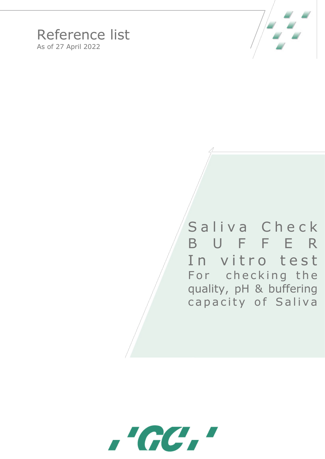

## Reference list As of 27 April 2022

Saliva Check B U F F E R In vitro test For checking the quality, pH & buffering capacity of Saliva

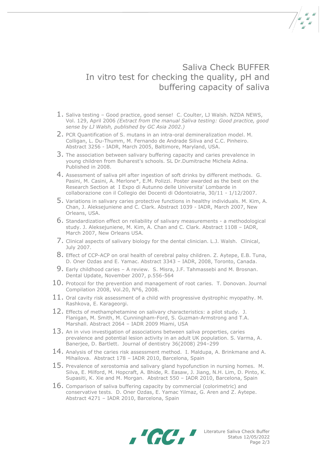## Saliva Check BUFFER In vitro test for checking the quality, pH and buffering capacity of saliva

- 1. Saliva testing Good practice, good sense! C. Coulter, LJ Walsh. NZDA NEWS, Vol. 129, April 2006 *(Extract from the manual Saliva testing: Good practice, good sense by LJ Walsh, published by GC Asia 2002.)*
- 2. PCR Quantification of S. mutans in an intra-oral demineralization model. M. Colligan, L. Du-Thumm, M. Fernando de Andrade Siliva and C.C. Pinheiro. Abstract 3256 - IADR, March 2005, Baltimore, Maryland, USA.
- 3. The association between salivary buffering capacity and caries prevalence in young children from Buharest's schools. SL Dr.Dumitrache Michela Adina. Published in 2008.
- 4. Assessment of saliva pH after ingestion of soft drinks by different methods. G. Pasini, M. Casini, A. Merlone\*, E.M. Polizzi. Poster awarded as the best on the Research Section at I Expo di Autunno delle Universita' Lombarde in collaborazione con il Collegio dei Docenti di Odontoiatria, 30/11 - 1/12/2007.
- 5. Variations in salivary caries protective functions in healthy individuals. M. Kim, A. Chan, J. Aleksejuniene and C. Clark. Abstract 1039 - IADR, March 2007, New Orleans, USA.
- 6. Standardization effect on reliability of salivary measurements a methodological study. J. Aleksejuniene, M. Kim, A. Chan and C. Clark. Abstract 1108 – IADR, March 2007, New Orleans USA.
- 7. Clinical aspects of salivary biology for the dental clinician. L.J. Walsh. Clinical, July 2007.
- 8. Effect of CCP-ACP on oral health of cerebral palsy children. Z. Aytepe, E.B. Tuna, D. Oner Ozdas and E. Yamac. Abstract 3343 – IADR, 2008, Toronto, Canada.
- 9. Early childhood caries A review. S. Misra, J.F. Tahmassebi and M. Brosnan. Dental Update, November 2007, p.556-564
- $10.$  Protocol for the prevention and management of root caries. T. Donovan. Journal Compilation 2008, Vol.20, N°6, 2008.
- $11.$  Oral cavity risk assessment of a child with progressive dystrophic myopathy. M. Rashkova, E. Karageorgi.
- 12. Effects of methamphetamine on salivary characteristics: a pilot study. J. Flanigan, M. Smith, M. Cunningham-Ford, S. Guzman-Armstrong and T.A. Marshall. Abstract 2064 – IADR 2009 Miami, USA
- $13$ . An in vivo investigation of associations between saliva properties, caries prevalence and potential lesion activity in an adult UK population. S. Varma, A. Banerjee, D. Bartlett. Journal of dentistry 36(2008) 294–299
- $14.$  Analysis of the caries risk assessment method. I. Maldupa, A. Brinkmane and A. Mihailova. Abstract 178 – IADR 2010, Barcelona, Spain
- $15.$  Prevalence of xerostomia and salivary gland hypofunction in nursing homes. M. Silva, E. Milford, M. Hopcraft, A. Bhide, R. Easaw, J. Jiang, N.H. Lim, D. Pinto, K. Supasiti, K. Xie and M. Morgan. Abstract 550 – IADR 2010, Barcelona, Spain
- 16. Comparison of saliva buffering capacity by commercial (colorimetric) and conservative tests. D. Oner Ozdas, E. Yamac Yilmaz, G. Aren and Z. Aytepe. Abstract 4271 – IADR 2010, Barcelona, Spain



Literature Saliva Check Buffer Status 12/05/2022 Page 2/3